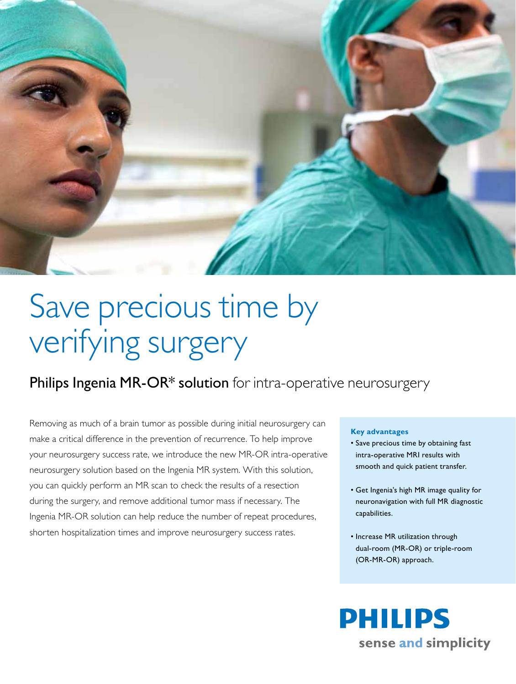

# Save precious time by verifying surgery

### Philips Ingenia MR-OR\* solution for intra-operative neurosurgery

Removing as much of a brain tumor as possible during initial neurosurgery can make a critical difference in the prevention of recurrence. To help improve your neurosurgery success rate, we introduce the new MR-OR intra-operative neurosurgery solution based on the Ingenia MR system. With this solution, you can quickly perform an MR scan to check the results of a resection during the surgery, and remove additional tumor mass if necessary. The Ingenia MR-OR solution can help reduce the number of repeat procedures, shorten hospitalization times and improve neurosurgery success rates.

#### **Key advantages**

- • Save precious time by obtaining fast intra-operative MRI results with smooth and quick patient transfer.
- • Get Ingenia's high MR image quality for neuronavigation with full MR diagnostic capabilities.
- Increase MR utilization through dual-room (MR-OR) or triple-room (OR-MR-OR) approach.

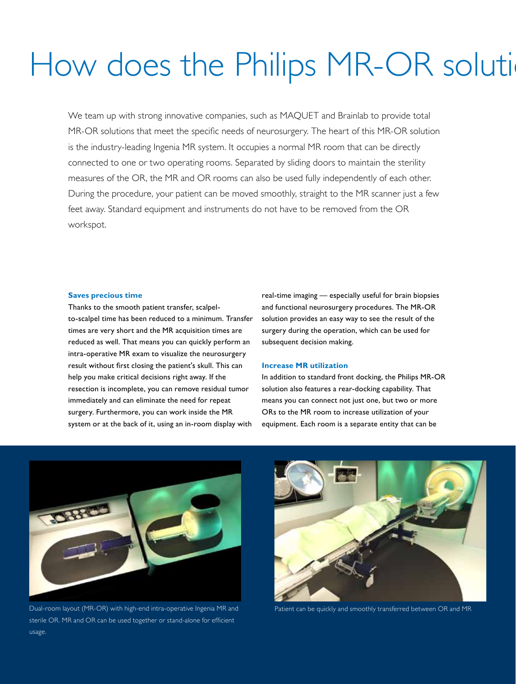## How does the Philips MR-OR soluti

We team up with strong innovative companies, such as MAQUET and Brainlab to provide total MR-OR solutions that meet the specific needs of neurosurgery. The heart of this MR-OR solution is the industry-leading Ingenia MR system. It occupies a normal MR room that can be directly connected to one or two operating rooms. Separated by sliding doors to maintain the sterility measures of the OR, the MR and OR rooms can also be used fully independently of each other. During the procedure, your patient can be moved smoothly, straight to the MR scanner just a few feet away. Standard equipment and instruments do not have to be removed from the OR workspot.

#### **Saves precious time**

Thanks to the smooth patient transfer, scalpelto-scalpel time has been reduced to a minimum. Transfer times are very short and the MR acquisition times are reduced as well. That means you can quickly perform an intra-operative MR exam to visualize the neurosurgery result without first closing the patient's skull. This can help you make critical decisions right away. If the resection is incomplete, you can remove residual tumor immediately and can eliminate the need for repeat surgery. Furthermore, you can work inside the MR system or at the back of it, using an in-room display with

real-time imaging — especially useful for brain biopsies and functional neurosurgery procedures. The MR-OR solution provides an easy way to see the result of the surgery during the operation, which can be used for subsequent decision making.

#### **Increase MR utilization**

In addition to standard front docking, the Philips MR-OR solution also features a rear-docking capability. That means you can connect not just one, but two or more ORs to the MR room to increase utilization of your equipment. Each room is a separate entity that can be



Dual-room layout (MR-OR) with high-end intra-operative Ingenia MR and sterile OR. MR and OR can be used together or stand-alone for efficient usage.



Patient can be quickly and smoothly transferred between OR and MR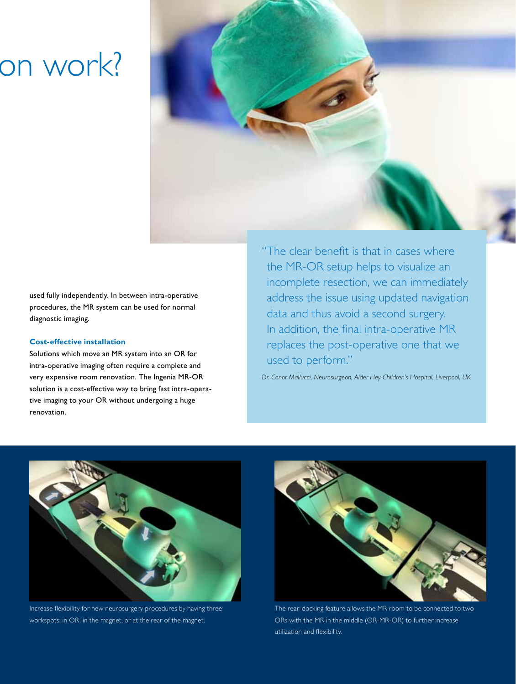### on work?



used fully independently. In between intra-operative procedures, the MR system can be used for normal diagnostic imaging.

#### **Cost-effective installation**

Solutions which move an MR system into an OR for intra-operative imaging often require a complete and very expensive room renovation. The Ingenia MR-OR solution is a cost-effective way to bring fast intra-operative imaging to your OR without undergoing a huge renovation.

"The clear benefit is that in cases where the MR-OR setup helps to visualize an incomplete resection, we can immediately address the issue using updated navigation data and thus avoid a second surgery. In addition, the final intra-operative MR replaces the post-operative one that we used to perform."

*Dr. Conor Mallucci, Neurosurgeon, Alder Hey Children's Hospital, Liverpool, UK*



Increase flexibility for new neurosurgery procedures by having three workspots: in OR, in the magnet, or at the rear of the magnet.



The rear-docking feature allows the MR room to be connected to two ORs with the MR in the middle (OR-MR-OR) to further increase utilization and flexibility.